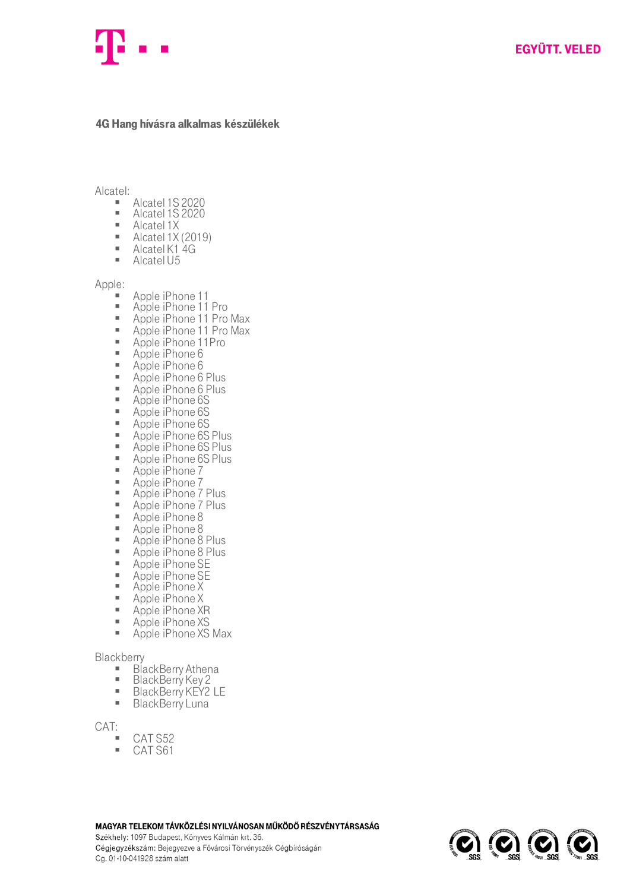## 4G Hang hívásra alkalmas készülékek

Alcatel:

- Alcatel 1S 2020<br>■ Alcatel 1S 2020
- $\blacksquare$  Alcatel 1S 2020
- Alcatel 1X<br>■ Alcatel 1X
- Alcatel 1X (2019)
- Alcatel K1 4G
- Alcatel U5

Apple:

- Apple iPhone 11
- Apple iPhone 11 Pro
- Apple iPhone 11 Pro Max
- Apple iPhone 11 Pro Max
- Apple iPhone 11Pro
- Apple iPhone 6
- Apple iPhone 6
- Apple iPhone 6 Plus<br>■ Apple iPhone 6 Plus
- Apple iPhone 6 Plus<br>■ Apple iPhone 6S
- Apple iPhone 6S
- Apple iPhone 6S
- Apple iPhone 6S
- **EXECUTE:** Apple iPhone 6S Plus
- Apple iPhone 6S Plus
- $\overline{A}$  Apple iPhone 6S Plus
- Apple iPhone 7<br>■ Apple iPhone 7
- Apple iPhone 7
- **E** Apple iPhone 7 Plus
- Apple iPhone 7 Plus<br>■ Apple iPhone 8
- $\overline{ }$  Apple iPhone 8
- Apple iPhone 8
- Apple iPhone 8 Plus
- Apple iPhone 8 Plus
- Apple iPhone SE
- Apple iPhone SE
- Apple iPhone X
- Apple iPhone X
- Apple iPhone XR
- Apple iPhone XS
- **EXECUTE:** Apple iPhone XS Max

Blackberry<br>Bla

- $\blacksquare$  BlackBerry Athena
- BlackBerry Key 2<br>■ RlackBerry KFY2
- $\blacksquare$  BlackBerry KEY2 LE
- **BlackBerry Luna**

CAT:

- CAT S52<br>■ CAT S61
- CAT S61

MAGYAR TELEKOM TÁVKÖZLÉSI NYILVÁNOSAN MŰKÖDŐ RÉSZVÉNYTÁRSASÁG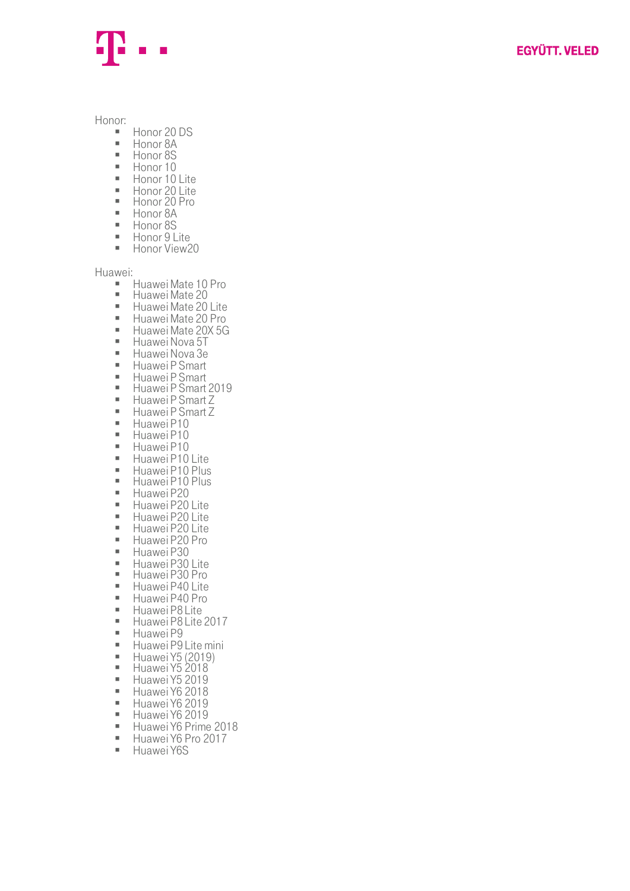

Honor:

- Honor 20 DS<br>■ Honor 8A
- Honor 8A
- Honor 8S<br>■ Honor 10
- Honor 10<br>■ Honor 10
- Honor 10 Lite<br>■ Honor 20 Lite
- **Honor 20 Lite**
- Honor 20 Pro
- Honor 8A
- Honor 8S
- Honor 9 Lite<br>■ Honor View<sup>2</sup> Honor View20

Huawei:

- Huawei Mate 10 Pro<br>■ Huawei Mate 20
- Huawei Mate 20<br>■ Huawei Mate 20
- Huawei Mate 20 Lite<br>■ Huawei Mate 20 Pro
- Huawei Mate 20 Pro<br>■ Huawei Mate 20X 5G
- Huawei Mate 20X 5G
- Huawei Nova 5T<br>■ Huawei Nova 3e
- Huawei Nova 3e<br>■ Huawei P Smart
- Huawei P Smart<br>■ Huawei P Smart
- Huawei P Smart
- $\blacksquare$  Huawei P Smart 2019
- Huawei P Smart Z<br>■ Huawei P Smart Z
- Huawei P Smart Z
- Huawei P10<br>■ Huawei P10
- $\blacksquare$  Huawei P10
- Huawei P10<br>■ Huawei P10
- Huawei P10 Lite<br>■ Huawei P10 Plus
- **E** Huawei P10 Plus
- **E** Huawei P10 Plus
- Huawei P20<br>■ Huawei P20
- Huawei P20 Lite<br>■ Huawei P20 Lite
- **E** Huawei P20 Lite
- **Huawei P20 Lite**
- Huawei P20 Pro
- 
- **E** Huawei P30 **Huawei P30 Lite**
- **Huawei P30 Pro**
- 
- Huawei P40 Lite<br>■ Huawei P40 Pro
- Huawei P40 Pro<br>■ Huawei P81 ite
- Huawei P8 Lite<br>■ Huawei P8 Lite  $\blacksquare$  Huawei P8 Lite 2017
- 
- **E** Huawei P9
- Huawei P9 Lite mini<br>■ Huawei Y5 (2010) **•** Huawei Y5 (2019)
- **Huawei Y5 2018**
- 
- $\blacksquare$  Huawei Y5 2019
- $\blacksquare$  Huawei Y6 2018 ▪ Huawei Y6 2019
- **Huawei Y6 2019**
- Huawei Y6 Prime 2018<br>■ Huawei Y6 Pro 2017
- Huawei Y6 Pro 2017<br>■ Huawei Y6S
- Huawei Y6S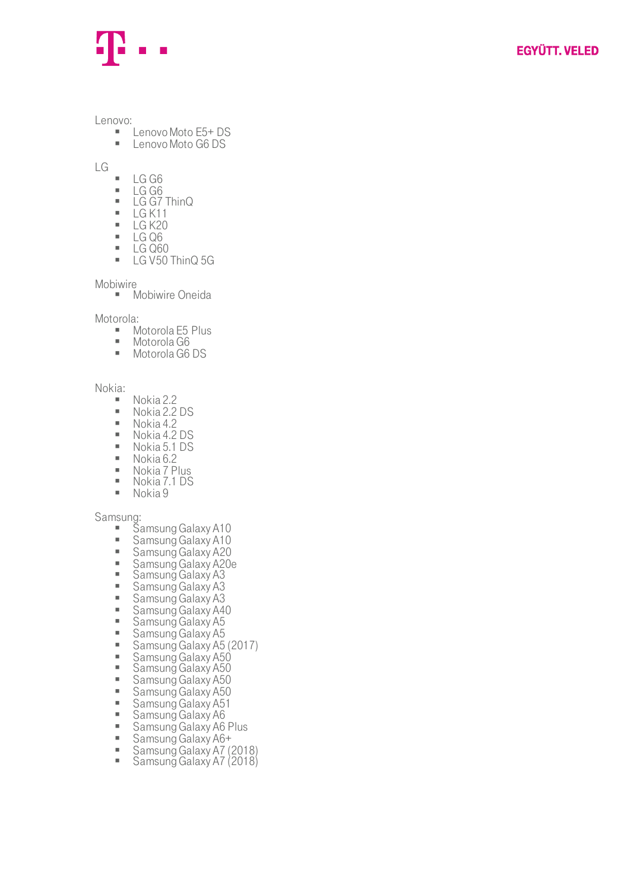Lenovo:

- Lenovo Moto E5+ DS<br>■ Lenovo Moto G6 DS
- Lenovo Moto G6 DS

LG

- $\begin{array}{r}\n\blacksquare\quad \text{LG} \text{G}6 \\
\blacksquare\quad \text{LG} \text{G}6\n\end{array}$
- $\begin{array}{r} \blacksquare \quad \text{LG} \text{G6} \\ \blacksquare \quad \text{IG} \text{G7} \end{array}$
- $\blacksquare$  LG G7 ThinQ<br> $\blacksquare$  I G K11
- $\begin{array}{r} \blacksquare$  LG K11
- LG K20
- LG Q6
- LG Q60 ■ LG V50 ThinQ 5G

Mobiwire

■ Mobiwire Oneida

Motorola:

- Motorola E5 Plus
- Motorola G6
- Motorola G6 DS

Nokia:

- Nokia 2.2<br>■ Nokia 2.2
- Nokia 2.2 DS<br>■ Nokia 4.2
- Nokia 4.2
- Nokia 4.2 DS
- $\blacksquare$  Nokia 5.1 DS
- Nokia 6.2<br>■ Nokia 7 P
- Nokia 7 Plus
- Nokia 7.1 DS
- $\blacksquare$  Nokia 9

Samsung:

- **E** Samsung Galaxy A10
- **BEDREE Samsung Galaxy A10**
- Samsung Galaxy A20
- Samsung Galaxy A20e
- **E** Samsung Galaxy A3
- **E** Samsung Galaxy A3
- Samsung Galaxy A3
- Samsung Galaxy A40
- **Examsung Galaxy A5**
- **Examsung Galaxy A5**
- Samsung Galaxy A5 (2017)
- **Bramsung Galaxy A50**
- **BEDREY Samsung Galaxy A50**
- **Bramsung Galaxy A50**
- **Bramsung Galaxy A50**
- Samsung Galaxy A51
- **Examsung Galaxy A6**
- Samsung Galaxy A6 Plus
- Samsung Galaxy A6+<br>■ Samsung Galaxy A7 (
- Samsung Galaxy A7 (2018)
- Samsung Galaxy A7 (2018)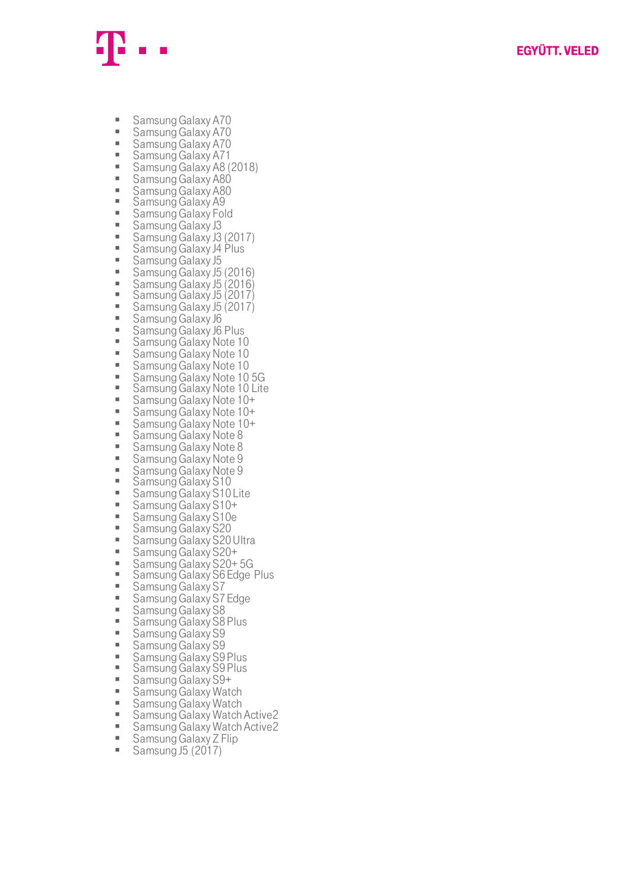

- Samsung Galaxy A70
- Samsung Galaxy A70
- Samsung Galaxy A70
- Samsung Galaxy A71<br>■ Samsung Galaxy A8 (
- Samsung Galaxy A8 (2018)<br>■ Samsung Galaxy A80
- Samsung Galaxy A80<br>■ Samsung Galaxy A80
- **Samsung Galaxy A80**
- Samsung Galaxy A9
- Samsung Galaxy Fold
- Samsung Galaxy J3
- Samsung Galaxy J3 (2017)
- Samsung Galaxy J4 Plus
- **B** Samsung Galaxy J5
- Samsung Galaxy J5 (2016)<br>■ Samsung Galaxy J5 (2016)
- Samsung Galaxy J5 (2016)
- Samsung Galaxy J5 (2017)
- Samsung Galaxy J5 (2017)
- Samsung Galaxy J6
- Samsung Galaxy J6 Plus<br>■ Samsung Galaxy Note 10
- Samsung Galaxy Note 10<br>■ Samsung Galaxy Note 10
- **Samsung Galaxy Note 10**<br>**Examsung Galaxy Note 10**
- **Samsung Galaxy Note 10**<br>**Examsung Galaxy Note 10**
- Samsung Galaxy Note 10 5G<br>■ Samsung Galaxy Note 10 Lite
- Samsung Galaxy Note 10 Lite
- Samsung Galaxy Note 10+
- Samsung Galaxy Note 10+
- Samsung Galaxy Note 10+<br>■ Samsung Galaxy Note 8
- Samsung Galaxy Note 8
- Samsung Galaxy Note 8
- Samsung Galaxy Note 9<br>■ Samsung Galaxy Note 9
- Samsung Galaxy Note 9
- **Samsung Galaxy S10**
- **Samsung Galaxy S10 Lite**
- Samsung Galaxy S10+<br>■ Samsung Galaxy S10o
- Samsung Galaxy S10e
- **E** Samsung Galaxy S20
- Samsung Galaxy S20 Ultra
- Samsung Galaxy S20+
- Samsung Galaxy S20+5G
- Samsung Galaxy S6 Edge Plus
- **E** Samsung Galaxy S7
- Samsung Galaxy S7 Edge
- Samsung Galaxy S8
- **E** Samsung Galaxy S8 Plus
- **E** Samsung Galaxy S9
- **E** Samsung Galaxy S9
- 
- Samsung Galaxy S9 Plus<br>■ Samsung Galaxy S9 Plus **Samsung Galaxy S9 Plus**
- 
- Samsung Galaxy S9+<br>■ Samsung Galaxy Wat
- **Examsung Galaxy Watch**<br>**Examsung Galaxy Watch**
- Samsung Galaxy Watch
- Samsung Galaxy Watch Active2<br>■ Samsung Galaxy Watch Active2
- Samsung Galaxy Watch Active2<br>■ Samsung Galaxy Z Elip
- **E** Samsung Galaxy Z Flip Samsung J5 (2017)